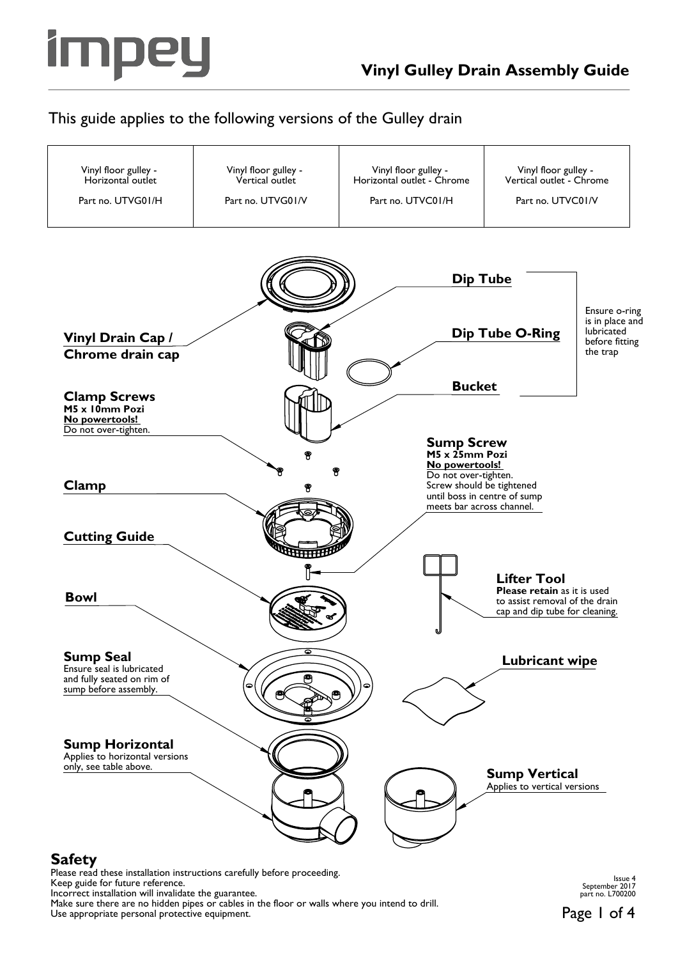

## This guide applies to the following versions of the Gulley drain



Keep guide for future reference.

Incorrect installation will invalidate the guarantee.

Make sure there are no hidden pipes or cables in the floor or walls where you intend to drill. Use appropriate personal protective equipment.

Issue 4 September 2017 part no. L700200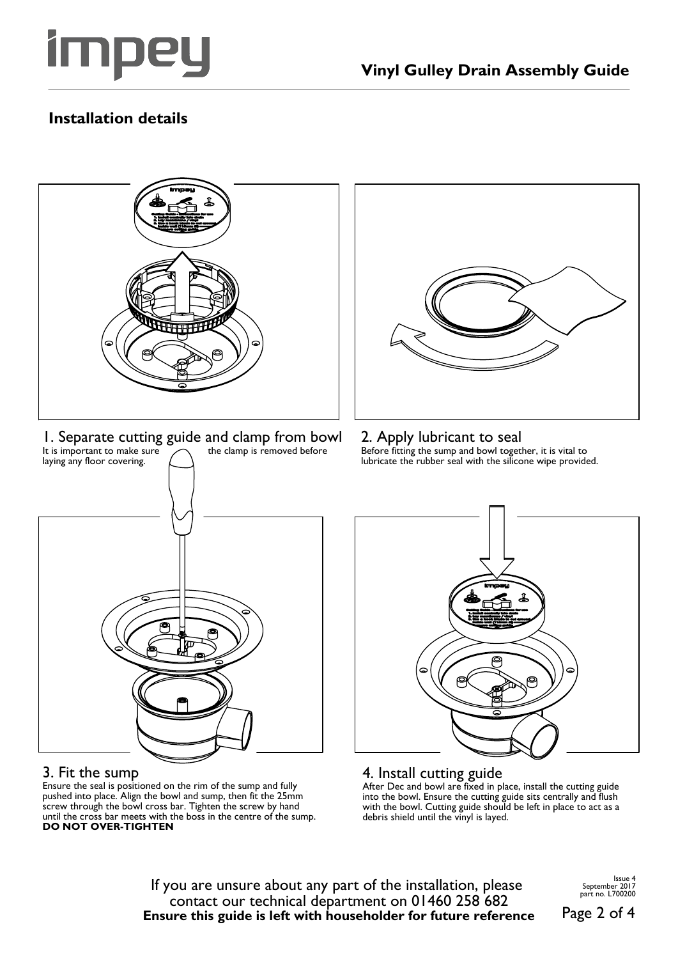

# **Installation details**



Ensure the seal is positioned on the rim of the sump and fully pushed into place. Align the bowl and sump, then fit the 25mm screw through the bowl cross bar. Tighten the screw by hand until the cross bar meets with the boss in the centre of the sump. **DO NOT OVER-TIGHTEN**

After Dec and bowl are fixed in place, install the cutting guide into the bowl. Ensure the cutting guide sits centrally and flush with the bowl. Cutting guide should be left in place to act as a debris shield until the vinyl is layed.

If you are unsure about any part of the installation, please contact our technical department on 01460 258 682 **Ensure this guide is left with householder for future reference** Issue 4 September 2017 part no. L700200

Page 2 of 4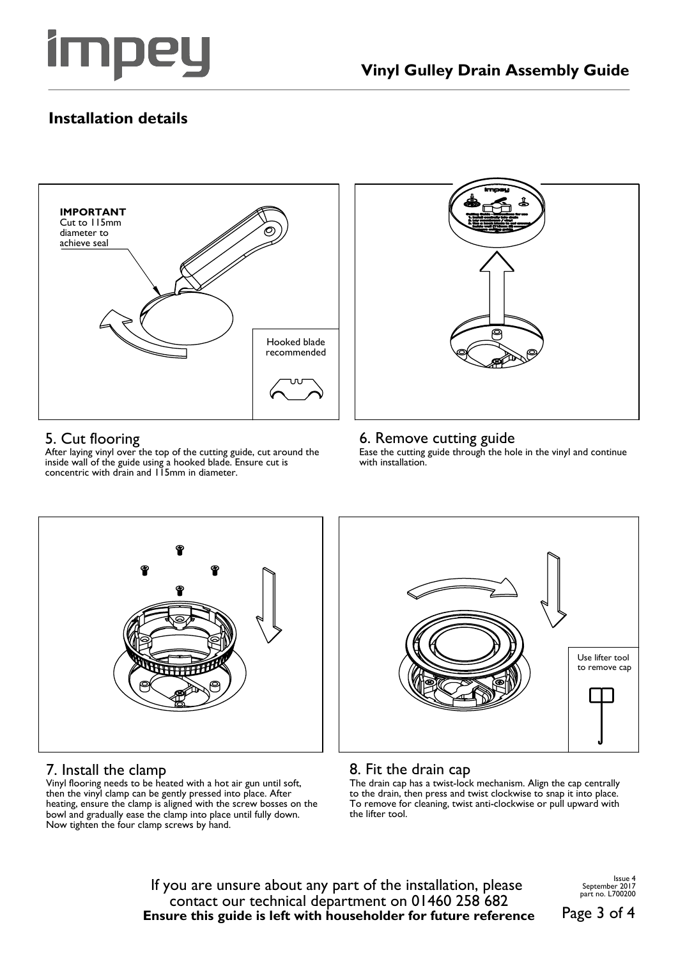

# **Installation details**



### 5. Cut flooring

After laying vinyl over the top of the cutting guide, cut around the inside wall of the guide using a hooked blade. Ensure cut is concentric with drain and 115mm in diameter.



#### 6. Remove cutting guide

Ease the cutting guide through the hole in the vinyl and continue with installation.



## 7. Install the clamp

Vinyl flooring needs to be heated with a hot air gun until soft, then the vinyl clamp can be gently pressed into place. After heating, ensure the clamp is aligned with the screw bosses on the bowl and gradually ease the clamp into place until fully down. Now tighten the four clamp screws by hand.



## 8. Fit the drain cap

The drain cap has a twist-lock mechanism. Align the cap centrally to the drain, then press and twist clockwise to snap it into place. To remove for cleaning, twist anti-clockwise or pull upward with the lifter tool.

If you are unsure about any part of the installation, please contact our technical department on 01460 258 682 **Ensure this guide is left with householder for future reference** Issue 4 September 2017 part no. L700200